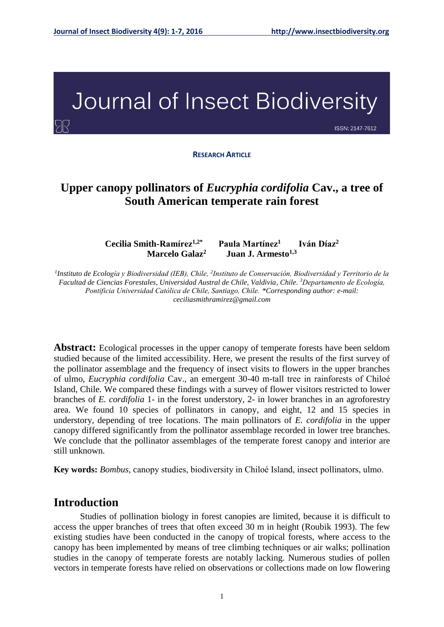# Journal of Insect Biodiversity

ISSN: 2147-7612

**RESEARCH ARTICLE**

# **Upper canopy pollinators of** *Eucryphia cordifolia* **Cav., a tree of South American temperate rain forest**

**Cecilia Smith-Ramírez1,2\* Paula Martínez<sup>1</sup> Iván Díaz<sup>2</sup> Marcelo Galaz<sup>2</sup> Juan J. Armesto1,3**

<sup>1</sup>Instituto de Ecología y Biodiversidad (IEB), Chile, <sup>2</sup>Instituto de Conservación, Biodiversidad y Territorio de la *Facultad de Ciencias Forestales, Universidad Austral de Chile, Valdivia, Chile. <sup>3</sup>Departamento de Ecología, Pontificia Universidad Católica de Chile, Santiago, Chile. \*Corresponding author: e-mail: ceciliasmithramirez@gmail.com*

**Abstract:** Ecological processes in the upper canopy of temperate forests have been seldom studied because of the limited accessibility. Here, we present the results of the first survey of the pollinator assemblage and the frequency of insect visits to flowers in the upper branches of ulmo, *Eucryphia cordifolia* Cav.*,* an emergent 30-40 m-tall tree in rainforests of Chiloé Island, Chile. We compared these findings with a survey of flower visitors restricted to lower branches of *E. cordifolia* 1- in the forest understory, 2- in lower branches in an agroforestry area. We found 10 species of pollinators in canopy, and eight, 12 and 15 species in understory, depending of tree locations. The main pollinators of *E. cordifolia* in the upper canopy differed significantly from the pollinator assemblage recorded in lower tree branches. We conclude that the pollinator assemblages of the temperate forest canopy and interior are still unknown.

**Key words:** *Bombus*, canopy studies, biodiversity in Chiloé Island, insect pollinators, ulmo.

#### **Introduction**

Studies of pollination biology in forest canopies are limited, because it is difficult to access the upper branches of trees that often exceed 30 m in height (Roubik 1993). The few existing studies have been conducted in the canopy of tropical forests, where access to the canopy has been implemented by means of tree climbing techniques or air walks; pollination studies in the canopy of temperate forests are notably lacking. Numerous studies of pollen vectors in temperate forests have relied on observations or collections made on low flowering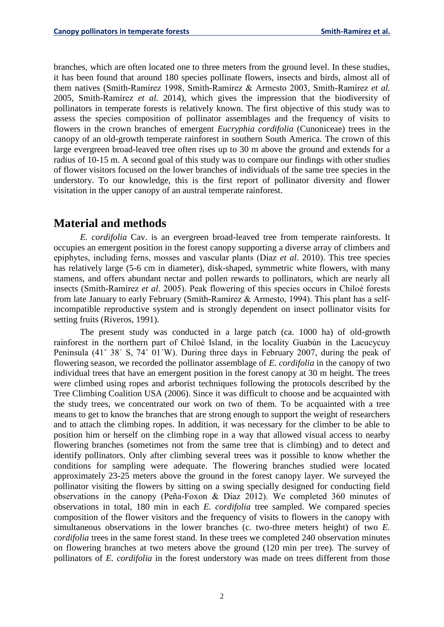branches, which are often located one to three meters from the ground level. In these studies, it has been found that around 180 species pollinate flowers, insects and birds, almost all of them natives (Smith-Ramírez 1998, Smith-Ramírez & Armesto 2003, Smith-Ramírez *et al.* 2005, Smith-Ramírez *et al.* 2014), which gives the impression that the biodiversity of pollinators in temperate forests is relatively known. The first objective of this study was to assess the species composition of pollinator assemblages and the frequency of visits to flowers in the crown branches of emergent *Eucryphia cordifolia* (Cunoniceae) trees in the canopy of an old-growth temperate rainforest in southern South America. The crown of this large evergreen broad-leaved tree often rises up to 30 m above the ground and extends for a radius of 10-15 m. A second goal of this study was to compare our findings with other studies of flower visitors focused on the lower branches of individuals of the same tree species in the understory. To our knowledge, this is the first report of pollinator diversity and flower visitation in the upper canopy of an austral temperate rainforest.

# **Material and methods**

*E. cordifolia* Cav. is an evergreen broad-leaved tree from temperate rainforests. It occupies an emergent position in the forest canopy supporting a diverse array of climbers and epiphytes, including ferns, mosses and vascular plants (Díaz *et al*. 2010). This tree species has relatively large (5-6 cm in diameter), disk-shaped, symmetric white flowers, with many stamens, and offers abundant nectar and pollen rewards to pollinators, which are nearly all insects (Smith-Ramírez *et al*. 2005). Peak flowering of this species occurs in Chiloé forests from late January to early February (Smith-Ramírez & Armesto, 1994). This plant has a selfincompatible reproductive system and is strongly dependent on insect pollinator visits for setting fruits (Riveros, 1991).

The present study was conducted in a large patch (ca. 1000 ha) of old-growth rainforest in the northern part of Chiloé Island, in the locality Guabún in the Lacucycuy Peninsula (41˚ 38´ S, 74˚ 01´W). During three days in February 2007, during the peak of flowering season, we recorded the pollinator assemblage of *E. cordifolia* in the canopy of two individual trees that have an emergent position in the forest canopy at 30 m height. The trees were climbed using ropes and arborist techniques following the protocols described by the Tree Climbing Coalition USA (2006). Since it was difficult to choose and be acquainted with the study trees, we concentrated our work on two of them. To be acquainted with a tree means to get to know the branches that are strong enough to support the weight of researchers and to attach the climbing ropes. In addition, it was necessary for the climber to be able to position him or herself on the climbing rope in a way that allowed visual access to nearby flowering branches (sometimes not from the same tree that is climbing) and to detect and identify pollinators. Only after climbing several trees was it possible to know whether the conditions for sampling were adequate. The flowering branches studied were located approximately 23-25 meters above the ground in the forest canopy layer. We surveyed the pollinator visiting the flowers by sitting on a swing specially designed for conducting field observations in the canopy (Peña-Foxon & Díaz 2012). We completed 360 minutes of observations in total, 180 min in each *E. cordifolia* tree sampled. We compared species composition of the flower visitors and the frequency of visits to flowers in the canopy with simultaneous observations in the lower branches (c. two-three meters height) of two *E. cordifolia* trees in the same forest stand. In these trees we completed 240 observation minutes on flowering branches at two meters above the ground (120 min per tree). The survey of pollinators of *E. cordifolia* in the forest understory was made on trees different from those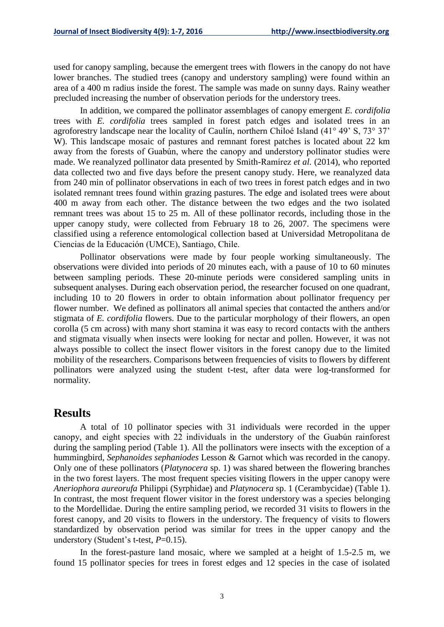used for canopy sampling, because the emergent trees with flowers in the canopy do not have lower branches. The studied trees (canopy and understory sampling) were found within an area of a 400 m radius inside the forest. The sample was made on sunny days. Rainy weather precluded increasing the number of observation periods for the understory trees.

In addition, we compared the pollinator assemblages of canopy emergent *E. cordifolia* trees with *E. cordifolia* trees sampled in forest patch edges and isolated trees in an agroforestry landscape near the locality of Caulín, northern Chiloé Island (41° 49' S, 73° 37' W). This landscape mosaic of pastures and remnant forest patches is located about 22 km away from the forests of Guabún, where the canopy and understory pollinator studies were made. We reanalyzed pollinator data presented by Smith-Ramírez *et al.* (2014), who reported data collected two and five days before the present canopy study. Here, we reanalyzed data from 240 min of pollinator observations in each of two trees in forest patch edges and in two isolated remnant trees found within grazing pastures. The edge and isolated trees were about 400 m away from each other. The distance between the two edges and the two isolated remnant trees was about 15 to 25 m. All of these pollinator records, including those in the upper canopy study, were collected from February 18 to 26, 2007. The specimens were classified using a reference entomological collection based at Universidad Metropolitana de Ciencias de la Educación (UMCE), Santiago, Chile.

Pollinator observations were made by four people working simultaneously. The observations were divided into periods of 20 minutes each, with a pause of 10 to 60 minutes between sampling periods. These 20-minute periods were considered sampling units in subsequent analyses. During each observation period, the researcher focused on one quadrant, including 10 to 20 flowers in order to obtain information about pollinator frequency per flower number. We defined as pollinators all animal species that contacted the anthers and/or stigmata of *E. cordifolia* flowers. Due to the particular morphology of their flowers, an open corolla (5 cm across) with many short stamina it was easy to record contacts with the anthers and stigmata visually when insects were looking for nectar and pollen. However, it was not always possible to collect the insect flower visitors in the forest canopy due to the limited mobility of the researchers. Comparisons between frequencies of visits to flowers by different pollinators were analyzed using the student t-test, after data were log-transformed for normality.

#### **Results**

A total of 10 pollinator species with 31 individuals were recorded in the upper canopy, and eight species with 22 individuals in the understory of the Guabún rainforest during the sampling period (Table 1). All the pollinators were insects with the exception of a hummingbird, *Sephanoides sephaniodes* Lesson & Garnot which was recorded in the canopy. Only one of these pollinators (*Platynocera* sp. 1) was shared between the flowering branches in the two forest layers. The most frequent species visiting flowers in the upper canopy were *Aneriophora aureorufa* Philippi (Syrphidae) and *Platynocera* sp. 1 (Cerambycidae) (Table 1). In contrast, the most frequent flower visitor in the forest understory was a species belonging to the Mordellidae. During the entire sampling period, we recorded 31 visits to flowers in the forest canopy, and 20 visits to flowers in the understory. The frequency of visits to flowers standardized by observation period was similar for trees in the upper canopy and the understory (Student's t-test, *P*=0.15).

In the forest-pasture land mosaic, where we sampled at a height of 1.5-2.5 m, we found 15 pollinator species for trees in forest edges and 12 species in the case of isolated

3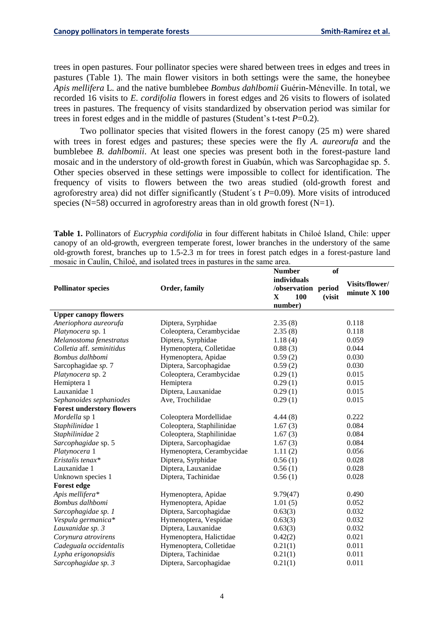trees in open pastures. Four pollinator species were shared between trees in edges and trees in pastures (Table 1). The main flower visitors in both settings were the same, the honeybee *Apis mellifera* L. and the native bumblebee *Bombus dahlbomii* Guérin-Méneville. In total, we recorded 16 visits to *E. cordifolia* flowers in forest edges and 26 visits to flowers of isolated trees in pastures. The frequency of visits standardized by observation period was similar for trees in forest edges and in the middle of pastures (Student's t-test *P*=0.2).

Two pollinator species that visited flowers in the forest canopy (25 m) were shared with trees in forest edges and pastures; these species were the fly *A. aureorufa* and the bumblebee *B. dahlbomii*. At least one species was present both in the forest-pasture land mosaic and in the understory of old-growth forest in Guabún, which was Sarcophagidae sp. 5. Other species observed in these settings were impossible to collect for identification. The frequency of visits to flowers between the two areas studied (old-growth forest and agroforestry area) did not differ significantly (Student´s t *P*=0.09). More visits of introduced species (N=58) occurred in agroforestry areas than in old growth forest (N=1).

**Table 1.** Pollinators of *Eucryphia cordifolia* in four different habitats in Chiloé Island, Chile: upper canopy of an old-growth, evergreen temperate forest, lower branches in the understory of the same old-growth forest, branches up to 1.5-2.3 m for trees in forest patch edges in a forest-pasture land mosaic in Caulín, Chiloé, and isolated trees in pastures in the same area.

|                                  |                           | <b>Number</b>                 | of             |
|----------------------------------|---------------------------|-------------------------------|----------------|
|                                  |                           | individuals                   | Visits/flower/ |
| <b>Pollinator species</b>        | Order, family             | /observation period           | minute $X$ 100 |
|                                  |                           | $\mathbf{X}$<br>100<br>(visit |                |
|                                  |                           | number)                       |                |
| <b>Upper canopy flowers</b>      |                           |                               |                |
| Aneriophora aureorufa            | Diptera, Syrphidae        | 2.35(8)                       | 0.118          |
| Platynocera sp. 1                | Coleoptera, Cerambycidae  | 2.35(8)                       | 0.118          |
| Melanostoma fenestratus          | Diptera, Syrphidae        | 1.18(4)                       | 0.059          |
| Colletia aff. seminitidus        | Hymenoptera, Colletidae   | 0.88(3)                       | 0.044          |
| Bombus dalhbomi                  | Hymenoptera, Apidae       | 0.59(2)                       | 0.030          |
| Sarcophagidae sp. 7              | Diptera, Sarcophagidae    | 0.59(2)                       | 0.030          |
| Platynocera sp. 2                | Coleoptera, Cerambycidae  | 0.29(1)                       | 0.015          |
| Hemiptera 1                      | Hemiptera                 | 0.29(1)                       | 0.015          |
| Lauxanidae 1                     | Diptera, Lauxanidae       | 0.29(1)                       | 0.015          |
| Sephanoides sephaniodes          | Ave, Trochilidae          | 0.29(1)                       | 0.015          |
| <b>Forest understory flowers</b> |                           |                               |                |
| Mordella sp 1                    | Coleoptera Mordellidae    | 4.44(8)                       | 0.222          |
| Staphilinidae 1                  | Coleoptera, Staphilinidae | 1.67(3)                       | 0.084          |
| Staphilinidae 2                  | Coleoptera, Staphilinidae | 1.67(3)                       | 0.084          |
| Sarcophagidae sp. 5              | Diptera, Sarcophagidae    | 1.67(3)                       | 0.084          |
| Platynocera 1                    | Hymenoptera, Cerambycidae | 1.11(2)                       | 0.056          |
| Eristalis tenax*                 | Diptera, Syrphidae        | 0.56(1)                       | 0.028          |
| Lauxanidae 1                     | Diptera, Lauxanidae       | 0.56(1)                       | 0.028          |
| Unknown species 1                | Diptera, Tachinidae       | 0.56(1)                       | 0.028          |
| <b>Forest edge</b>               |                           |                               |                |
| Apis mellifera*                  | Hymenoptera, Apidae       | 9.79(47)                      | 0.490          |
| Bombus dalhbomi                  | Hymenoptera, Apidae       | 1.01(5)                       | 0.052          |
| Sarcophagidae sp. 1              | Diptera, Sarcophagidae    | 0.63(3)                       | 0.032          |
| Vespula germanica*               | Hymenoptera, Vespidae     | 0.63(3)                       | 0.032          |
| Lauxanidae sp. 3                 | Diptera, Lauxanidae       | 0.63(3)                       | 0.032          |
| Corynura atrovirens              | Hymenoptera, Halictidae   | 0.42(2)                       | 0.021          |
| Cadeguala occidentalis           | Hymenoptera, Colletidae   | 0.21(1)                       | 0.011          |
| Lypha erigonopsidis              | Diptera, Tachinidae       | 0.21(1)                       | 0.011          |
| Sarcophagidae sp. 3              | Diptera, Sarcophagidae    | 0.21(1)                       | 0.011          |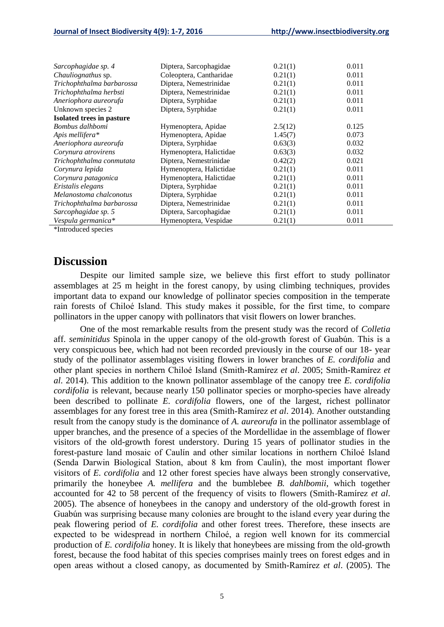| Diptera, Sarcophagidae  | 0.21(1) | 0.011                                                                                                      |
|-------------------------|---------|------------------------------------------------------------------------------------------------------------|
| Coleoptera, Cantharidae | 0.21(1) | 0.011                                                                                                      |
| Diptera, Nemestrinidae  | 0.21(1) | 0.011                                                                                                      |
| Diptera, Nemestrinidae  |         | 0.011                                                                                                      |
| Diptera, Syrphidae      |         | 0.011                                                                                                      |
| Diptera, Syrphidae      |         | 0.011                                                                                                      |
|                         |         |                                                                                                            |
| Hymenoptera, Apidae     |         | 0.125                                                                                                      |
| Hymenoptera, Apidae     | 1.45(7) | 0.073                                                                                                      |
| Diptera, Syrphidae      |         | 0.032                                                                                                      |
| Hymenoptera, Halictidae |         | 0.032                                                                                                      |
| Diptera, Nemestrinidae  |         | 0.021                                                                                                      |
| Hymenoptera, Halictidae | 0.21(1) | 0.011                                                                                                      |
| Hymenoptera, Halictidae | 0.21(1) | 0.011                                                                                                      |
| Diptera, Syrphidae      | 0.21(1) | 0.011                                                                                                      |
| Diptera, Syrphidae      | 0.21(1) | 0.011                                                                                                      |
| Diptera, Nemestrinidae  |         | 0.011                                                                                                      |
| Diptera, Sarcophagidae  |         | 0.011                                                                                                      |
| Hymenoptera, Vespidae   |         | 0.011                                                                                                      |
|                         |         | 0.21(1)<br>0.21(1)<br>0.21(1)<br>2.5(12)<br>0.63(3)<br>0.63(3)<br>0.42(2)<br>0.21(1)<br>0.21(1)<br>0.21(1) |

\*Introduced species

#### **Discussion**

Despite our limited sample size, we believe this first effort to study pollinator assemblages at 25 m height in the forest canopy, by using climbing techniques, provides important data to expand our knowledge of pollinator species composition in the temperate rain forests of Chiloé Island. This study makes it possible, for the first time, to compare pollinators in the upper canopy with pollinators that visit flowers on lower branches.

One of the most remarkable results from the present study was the record of *Colletia*  aff. *seminitidus* Spinola in the upper canopy of the old-growth forest of Guabún. This is a very conspicuous bee, which had not been recorded previously in the course of our 18- year study of the pollinator assemblages visiting flowers in lower branches of *E. cordifolia* and other plant species in northern Chiloé Island (Smith-Ramírez *et al*. 2005; Smith-Ramírez *et al*. 2014). This addition to the known pollinator assemblage of the canopy tree *E. cordifolia cordifolia* is relevant, because nearly 150 pollinator species or morpho-species have already been described to pollinate *E. cordifolia* flowers, one of the largest, richest pollinator assemblages for any forest tree in this area (Smith-Ramírez *et al*. 2014). Another outstanding result from the canopy study is the dominance of *A. aureorufa* in the pollinator assemblage of upper branches, and the presence of a species of the Mordellidae in the assemblage of flower visitors of the old-growth forest understory. During 15 years of pollinator studies in the forest-pasture land mosaic of Caulín and other similar locations in northern Chiloé Island (Senda Darwin Biological Station, about 8 km from Caulín), the most important flower visitors of *E. cordifolia* and 12 other forest species have always been strongly conservative, primarily the honeybee *A. mellifera* and the bumblebee *B. dahlbomii*, which together accounted for 42 to 58 percent of the frequency of visits to flowers (Smith-Ramírez *et al*. 2005). The absence of honeybees in the canopy and understory of the old-growth forest in Guabún was surprising because many colonies are brought to the island every year during the peak flowering period of *E. cordifolia* and other forest trees. Therefore, these insects are expected to be widespread in northern Chiloé, a region well known for its commercial production of *E. cordifolia* honey. It is likely that honeybees are missing from the old-growth forest, because the food habitat of this species comprises mainly trees on forest edges and in open areas without a closed canopy, as documented by Smith-Ramírez *et al*. (2005). The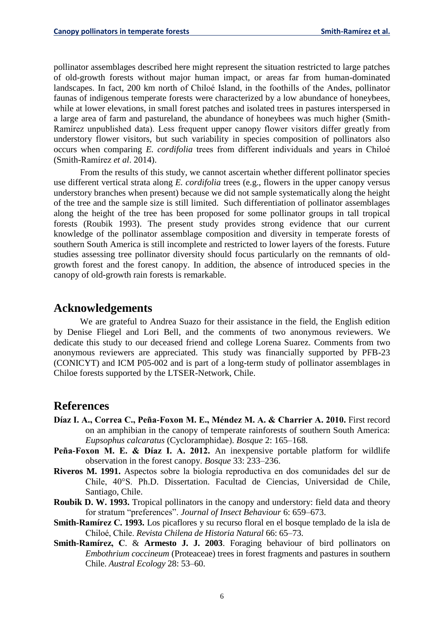pollinator assemblages described here might represent the situation restricted to large patches of old-growth forests without major human impact, or areas far from human-dominated landscapes. In fact, 200 km north of Chiloé Island, in the foothills of the Andes, pollinator faunas of indigenous temperate forests were characterized by a low abundance of honeybees, while at lower elevations, in small forest patches and isolated trees in pastures interspersed in a large area of farm and pastureland, the abundance of honeybees was much higher (Smith-Ramírez unpublished data). Less frequent upper canopy flower visitors differ greatly from understory flower visitors, but such variability in species composition of pollinators also occurs when comparing *E. cordifolia* trees from different individuals and years in Chiloé (Smith-Ramírez *et al*. 2014).

From the results of this study, we cannot ascertain whether different pollinator species use different vertical strata along *E. cordifolia* trees (e.g., flowers in the upper canopy versus understory branches when present) because we did not sample systematically along the height of the tree and the sample size is still limited. Such differentiation of pollinator assemblages along the height of the tree has been proposed for some pollinator groups in tall tropical forests (Roubik 1993). The present study provides strong evidence that our current knowledge of the pollinator assemblage composition and diversity in temperate forests of southern South America is still incomplete and restricted to lower layers of the forests. Future studies assessing tree pollinator diversity should focus particularly on the remnants of oldgrowth forest and the forest canopy. In addition, the absence of introduced species in the canopy of old-growth rain forests is remarkable.

## **Acknowledgements**

We are grateful to Andrea Suazo for their assistance in the field, the English edition by Denise Fliegel and Lori Bell, and the comments of two anonymous reviewers. We dedicate this study to our deceased friend and college Lorena Suarez. Comments from two anonymous reviewers are appreciated. This study was financially supported by PFB-23 (CONICYT) and ICM P05-002 and is part of a long-term study of pollinator assemblages in Chiloe forests supported by the LTSER-Network, Chile.

### **References**

- **Díaz I. A., Correa C., Peña-Foxon M. E., Méndez M. A. & Charrier A. 2010.** First record on an amphibian in the canopy of temperate rainforests of southern South America: *Eupsophus calcaratus* (Cycloramphidae). *Bosque* 2: 165–168.
- **Peña-Foxon M. E. & Díaz I. A. 2012.** An inexpensive portable platform for wildlife observation in the forest canopy. *Bosque* 33: 233–236.
- **Riveros M. 1991.** Aspectos sobre la biología reproductiva en dos comunidades del sur de Chile, 40°S. Ph.D. Dissertation. Facultad de Ciencias, Universidad de Chile, Santiago, Chile.
- **Roubik D. W. 1993.** Tropical pollinators in the canopy and understory: field data and theory for stratum "preferences". *Journal of Insect Behaviour* 6: 659–673.
- **Smith-Ramírez C. 1993.** Los picaflores y su recurso floral en el bosque templado de la isla de Chiloé, Chile. *Revista Chilena de Historia Natural* 66: 65–73.
- **Smith-Ramírez, C**. & **Armesto J. J. 2003**. Foraging behaviour of bird pollinators on *Embothrium coccineum* (Proteaceae) trees in forest fragments and pastures in southern Chile. *Austral Ecology* 28: 53–60.